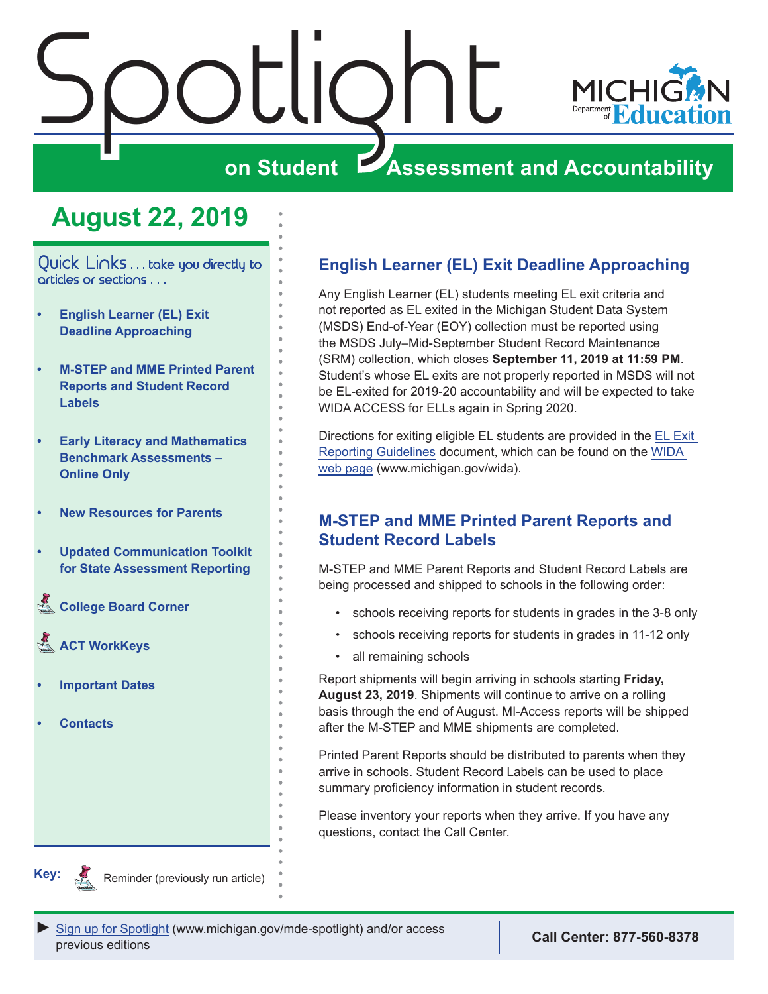<span id="page-0-0"></span>



## **on Student Assessment and Accountability**

## **August 22, 2019**

Quick Links . . . take you directly to articles or sections . . .

- **• English Learner (EL) Exit Deadline Approaching**
- **• M-STEP and MME Printed Parent Reports and Student Record Labels**
- **• [Early Literacy and Mathematics](#page-1-0)  [Benchmark Assessments –](#page-1-0)  [Online Only](#page-1-0)**
- **• [New Resources for Parents](#page-2-0)**
- **• [Updated Communication Toolkit](#page-3-0)  [for State Assessment Reporting](#page-3-0)**
- **College Board Corner**
- **ACT WorkKeys**
- **• [Important Dates](#page-7-0)**
- **• [Contacts](#page-8-0)**

### **English Learner (EL) Exit Deadline Approaching**

Any English Learner (EL) students meeting EL exit criteria and not reported as EL exited in the Michigan Student Data System (MSDS) End-of-Year (EOY) collection must be reported using the MSDS July–Mid-September Student Record Maintenance (SRM) collection, which closes **September 11, 2019 at 11:59 PM**. Student's whose EL exits are not properly reported in MSDS will not be EL-exited for 2019-20 accountability and will be expected to take WIDA ACCESS for ELLs again in Spring 2020.

Directions for exiting eligible EL students are provided in the [EL Exit](https://www.michigan.gov/documents/mde/English_Learner_EL_Exit_Reporting_Guidelines_624626_7.pdf)  [Reporting Guidelines](https://www.michigan.gov/documents/mde/English_Learner_EL_Exit_Reporting_Guidelines_624626_7.pdf) document, which can be found on the [WIDA](www.michigan.gov/wida)  [web page](www.michigan.gov/wida) (www.michigan.gov/wida).

#### **M-STEP and MME Printed Parent Reports and Student Record Labels**

M-STEP and MME Parent Reports and Student Record Labels are being processed and shipped to schools in the following order:

- schools receiving reports for students in grades in the 3-8 only
- schools receiving reports for students in grades in 11-12 only
- all remaining schools

Report shipments will begin arriving in schools starting **Friday, August 23, 2019**. Shipments will continue to arrive on a rolling basis through the end of August. MI-Access reports will be shipped after the M-STEP and MME shipments are completed.

Printed Parent Reports should be distributed to parents when they arrive in schools. Student Record Labels can be used to place summary proficiency information in student records.

Please inventory your reports when they arrive. If you have any questions, contact the Call Center.



Reminder (previously run article)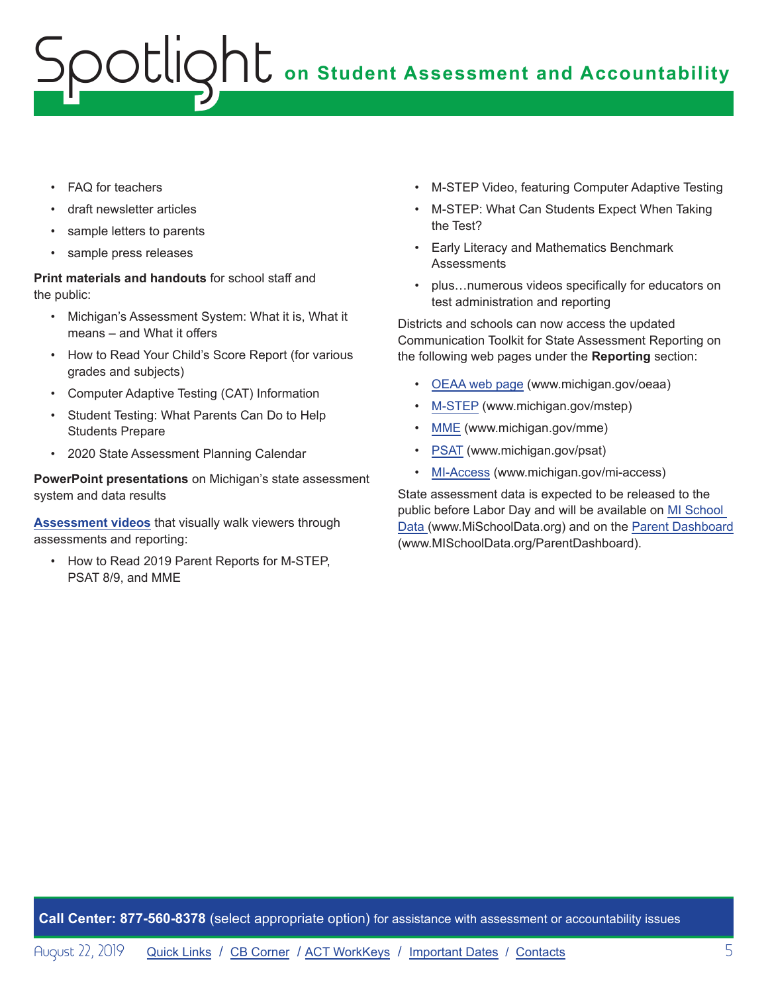# **on Student Assessment and Accountability** potlic

- FAQ for teachers
- draft newsletter articles
- sample letters to parents
- sample press releases

**Print materials and handouts** for school staff and the public:

- Michigan's Assessment System: What it is, What it means – and What it offers
- How to Read Your Child's Score Report (for various grades and subjects)
- Computer Adaptive Testing (CAT) Information
- Student Testing: What Parents Can Do to Help Students Prepare
- 2020 State Assessment Planning Calendar

**PowerPoint presentations** on Michigan's state assessment system and data results

**[Assessment videos](https://www.youtube.com/playlist?list=PLQNv-MrTjyhLZWGC8WhRGxoEmynfXUHuc)** that visually walk viewers through assessments and reporting:

• How to Read 2019 Parent Reports for M-STEP, PSAT 8/9, and MME

- M-STEP Video, featuring Computer Adaptive Testing
- M-STEP: What Can Students Expect When Taking the Test?
- Early Literacy and Mathematics Benchmark **Assessments**
- plus…numerous videos specifically for educators on test administration and reporting

Districts and schools can now access the updated Communication Toolkit for State Assessment Reporting on the following web pages under the **Reporting** section:

- [OEAA web page](http://www.michigan.gov/oeaa) (www.michigan.gov/oeaa)
- [M-STEP](www.michigan.gov/mstep) (www.michigan.gov/mstep)
- [MME](www.michigan.gov/mme) (www.michigan.gov/mme)
- [PSAT](http://www.michigan.gov/psat) (www.michigan.gov/psat)
- [MI-Access](http://www.michigan.gov/mi-access) (www.michigan.gov/mi-access)

State assessment data is expected to be released to the public before Labor Day and will be available on [MI School](https://www.mischooldata.org/)  [Data](https://www.mischooldata.org/) (www.MiSchoolData.org) and on the [Parent Dashboard](http://www.mischooldata.org/parentdashboard)  (www.MISchoolData.org/ParentDashboard).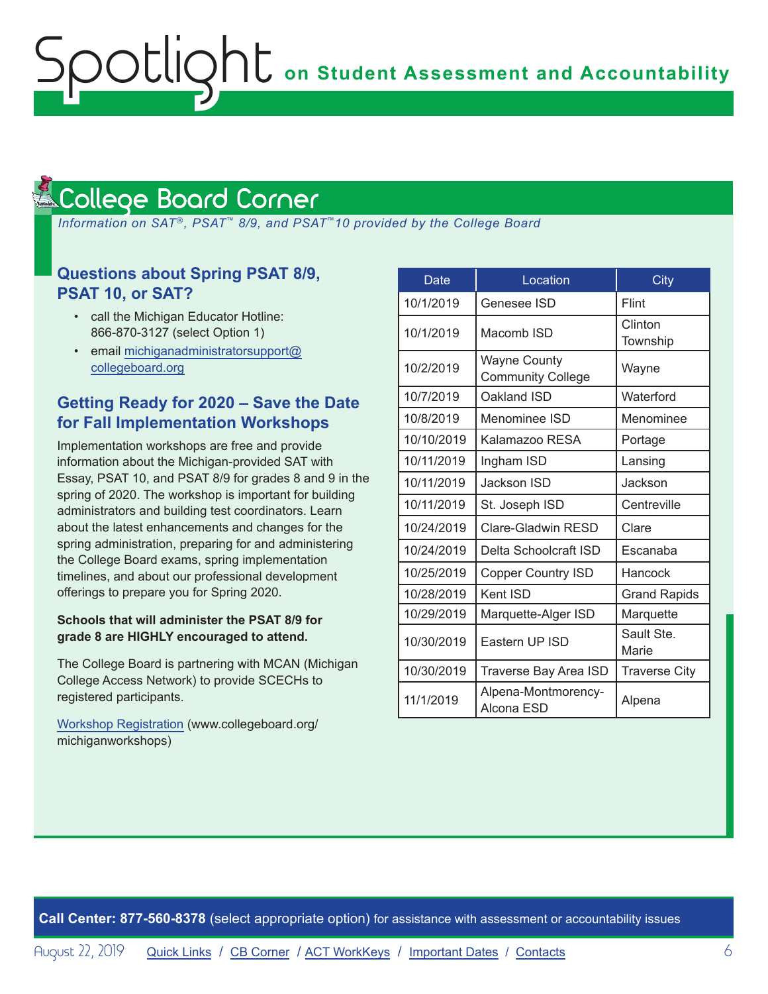#### <span id="page-5-1"></span>College Board Corner **Reminders**

<span id="page-5-0"></span>ootlic

 *Information on SAT*®*, PSAT*™ *8/9, and PSAT*™*10 provided by the College Board*

#### **Questions about Spring PSAT 8/9, PSAT 10, or SAT?**

- call the Michigan Educator Hotline: 866-870-3127 (select Option 1)
- email [michiganadministratorsupport@](mailto:michiganadministratorsupport%40collegeboard.org?subject=) [collegeboard.org](mailto:michiganadministratorsupport%40collegeboard.org?subject=)

#### **Getting Ready for 2020 – Save the Date for Fall Implementation Workshops**

Implementation workshops are free and provide information about the Michigan-provided SAT with Essay, PSAT 10, and PSAT 8/9 for grades 8 and 9 in the spring of 2020. The workshop is important for building administrators and building test coordinators. Learn about the latest enhancements and changes for the spring administration, preparing for and administering the College Board exams, spring implementation timelines, and about our professional development offerings to prepare you for Spring 2020.

#### **Schools that will administer the PSAT 8/9 for grade 8 are HIGHLY encouraged to attend.**

The College Board is partnering with MCAN (Michigan College Access Network) to provide SCECHs to registered participants.

[Workshop Registration](http://www.collegeboard.org/michiganworkshops) (www.collegeboard.org/ michiganworkshops)

| <b>Date</b> | Location                                        | City                 |
|-------------|-------------------------------------------------|----------------------|
| 10/1/2019   | Genesee ISD                                     | Flint                |
| 10/1/2019   | Macomb ISD                                      | Clinton<br>Township  |
| 10/2/2019   | <b>Wayne County</b><br><b>Community College</b> | Wayne                |
| 10/7/2019   | Oakland ISD                                     | Waterford            |
| 10/8/2019   | Menominee ISD                                   | Menominee            |
| 10/10/2019  | Kalamazoo RESA                                  | Portage              |
| 10/11/2019  | Ingham ISD                                      | Lansing              |
| 10/11/2019  | Jackson ISD                                     | Jackson              |
| 10/11/2019  | St. Joseph ISD                                  | Centreville          |
| 10/24/2019  | Clare-Gladwin RESD                              | Clare                |
| 10/24/2019  | Delta Schoolcraft ISD                           | Escanaba             |
| 10/25/2019  | Copper Country ISD                              | Hancock              |
| 10/28/2019  | Kent ISD                                        | <b>Grand Rapids</b>  |
| 10/29/2019  | Marquette-Alger ISD                             | Marquette            |
| 10/30/2019  | Eastern UP ISD                                  | Sault Ste.<br>Marie  |
| 10/30/2019  | Traverse Bay Area ISD                           | <b>Traverse City</b> |
| 11/1/2019   | Alpena-Montmorency-<br>Alcona ESD               | Alpena               |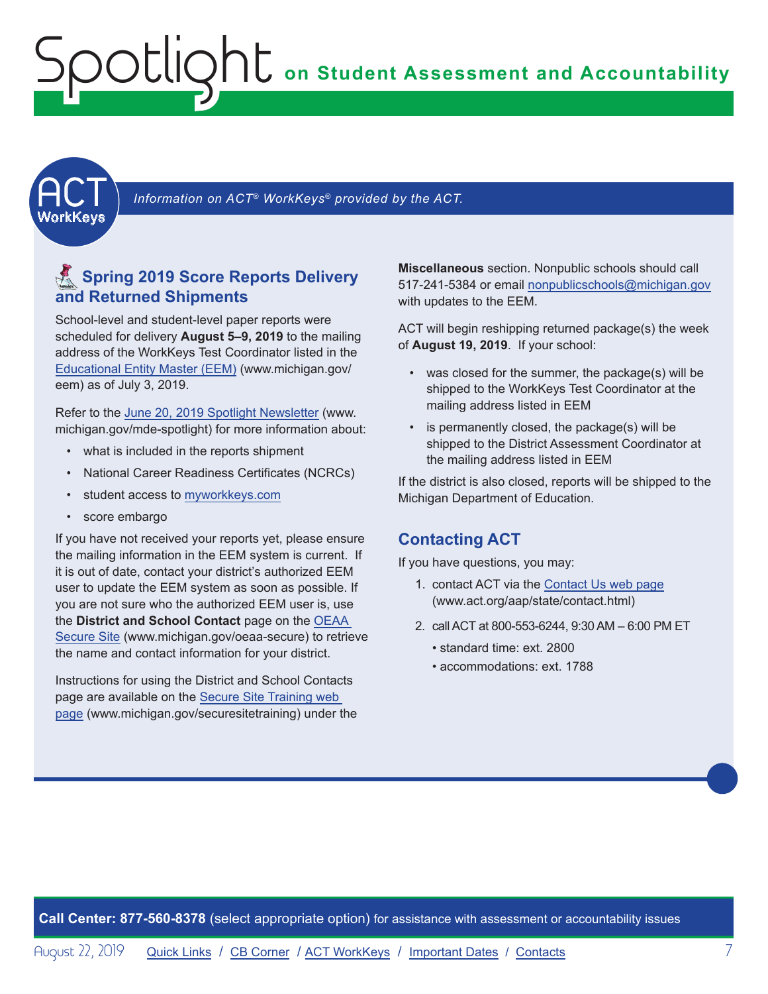## <span id="page-6-0"></span>**on Student Assessment and Accountability** Spotlight

<span id="page-6-1"></span>

Information on ACT<sup>®</sup> WorkKeys<sup>®</sup> provided by the ACT.

### **<u>A</u>** Spring 2019 Score Reports Delivery **and Returned Shipments**

School-level and student-level paper reports were scheduled for delivery **August 5–9, 2019** to the mailing address of the WorkKeys Test Coordinator listed in the [Educational Entity Master \(EEM\)](www.michigan.gov/EEM) (www.michigan.gov/ eem) as of July 3, 2019.

Refer to the [June 20, 2019 Spotlight Newsletter](https://www.michigan.gov/documents/mde/Spotlight_6-20-19_658668_7.pdf) (www. michigan.gov/mde-spotlight) for more information about:

- what is included in the reports shipment
- National Career Readiness Certificates (NCRCs)
- student access to [myworkkeys.com](http://www.myworkkeys.com)
- score embargo

If you have not received your reports yet, please ensure the mailing information in the EEM system is current. If it is out of date, contact your district's authorized EEM user to update the EEM system as soon as possible. If you are not sure who the authorized EEM user is, use the **District and School Contact** page on the [OEAA](http://www.michigan.gov/oeaa-secure)  [Secure Site](http://www.michigan.gov/oeaa-secure) (www.michigan.gov/oeaa-secure) to retrieve the name and contact information for your district.

Instructions for using the District and School Contacts page are available on the [Secure Site Training web](http://www.michigan.gov/securesitetraining)  [page](http://www.michigan.gov/securesitetraining) (www.michigan.gov/securesitetraining) under the

**Miscellaneous** section. Nonpublic schools should call 517-241-5384 or email [nonpublicschools@michigan.gov](mailto:nonpublicschools%40michigan.gov?subject=) with updates to the EEM.

ACT will begin reshipping returned package(s) the week of **August 19, 2019**. If your school:

- was closed for the summer, the package(s) will be shipped to the WorkKeys Test Coordinator at the mailing address listed in EEM
- is permanently closed, the package(s) will be shipped to the District Assessment Coordinator at the mailing address listed in EEM

If the district is also closed, reports will be shipped to the Michigan Department of Education.

#### **Contacting ACT**

If you have questions, you may:

- 1. contact ACT via the [Contact Us web page](http://www.act.org/aap/state/contact.html) (<www.act.org/aap/state/contact.html>)
- 2. call ACT at 800-553-6244, 9:30 AM 6:00 PM ET
	- standard time: ext. 2800
	- accommodations: ext. 1788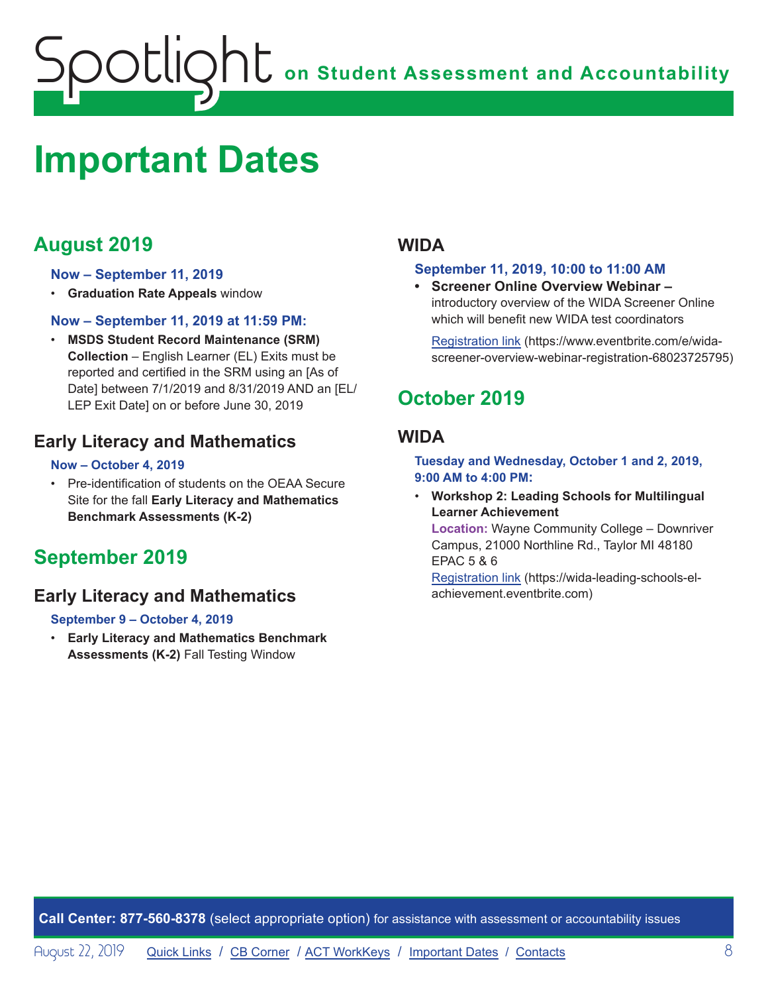## <span id="page-7-0"></span>**ONE** on Student Assessment and Accountability ootlig

## <span id="page-7-1"></span>**Important Dates**

## **August 2019**

#### **Now – September 11, 2019**

• **Graduation Rate Appeals** window

#### **Now – September 11, 2019 at 11:59 PM:**

• **MSDS Student Record Maintenance (SRM) Collection** – English Learner (EL) Exits must be reported and certified in the SRM using an [As of Date] between 7/1/2019 and 8/31/2019 AND an [EL/ LEP Exit Date] on or before June 30, 2019

#### **Early Literacy and Mathematics**

#### **Now – October 4, 2019**

• Pre-identification of students on the OEAA Secure Site for the fall **Early Literacy and Mathematics Benchmark Assessments (K-2)**

### **September 2019**

#### **Early Literacy and Mathematics**

#### **September 9 – October 4, 2019**

• **Early Literacy and Mathematics Benchmark Assessments (K-2)** Fall Testing Window

#### **WIDA**

#### **September 11, 2019, 10:00 to 11:00 AM**

**• Screener Online Overview Webinar –**  introductory overview of the WIDA Screener Online which will benefit new WIDA test coordinators

[Registration link](https://www.eventbrite.com/e/wida-screener-overview-webinar-registration-68023725795) (https://www.eventbrite.com/e/widascreener-overview-webinar-registration-68023725795)

## **October 2019**

#### **WIDA**

**Tuesday and Wednesday, October 1 and 2, 2019, 9:00 AM to 4:00 PM:** 

• **Workshop 2: Leading Schools for Multilingual Learner Achievement Location:** Wayne Community College – Downriver Campus, 21000 Northline Rd., Taylor MI 48180 EPAC 5 & 6

[Registration link](https://wida-leading-schools-el-achievement.eventbrite.com) (https://wida-leading-schools-elachievement.eventbrite.com)